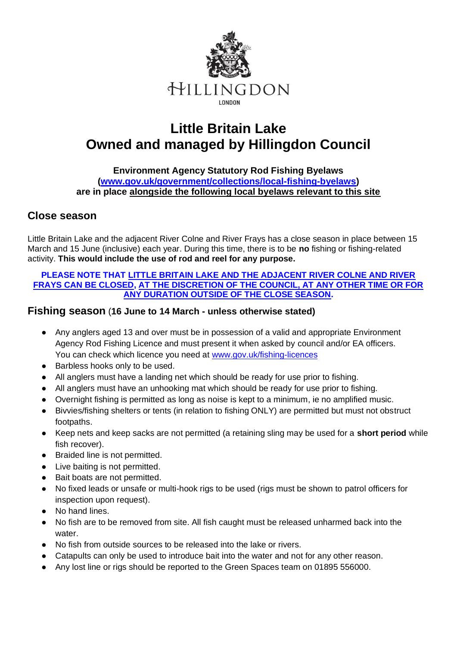

# **Little Britain Lake Owned and managed by Hillingdon Council**

#### **Environment Agency Statutory Rod Fishing Byelaws [\(www.gov.uk/government/collections/local-fishing-byelaws\)](http://www.gov.uk/government/collections/local-fishing-byelaws) are in place alongside the following local byelaws relevant to this site**

### **Close season**

Little Britain Lake and the adjacent River Colne and River Frays has a close season in place between 15 March and 15 June (inclusive) each year. During this time, there is to be **no** fishing or fishing-related activity. **This would include the use of rod and reel for any purpose.**

#### **PLEASE NOTE THAT LITTLE BRITAIN LAKE AND THE ADJACENT RIVER COLNE AND RIVER FRAYS CAN BE CLOSED, AT THE DISCRETION OF THE COUNCIL, AT ANY OTHER TIME OR FOR ANY DURATION OUTSIDE OF THE CLOSE SEASON.**

### **Fishing season** (**16 June to 14 March - unless otherwise stated)**

- Any anglers aged 13 and over must be in possession of a valid and appropriate Environment Agency Rod Fishing Licence and must present it when asked by council and/or EA officers. You can check which licence you need at [www.gov.uk/fishing-licences](http://www.gov.uk/fishing-licences)
- Barbless hooks only to be used.
- All anglers must have a landing net which should be ready for use prior to fishing.
- All anglers must have an unhooking mat which should be ready for use prior to fishing.
- Overnight fishing is permitted as long as noise is kept to a minimum, ie no amplified music.
- Bivvies/fishing shelters or tents (in relation to fishing ONLY) are permitted but must not obstruct footpaths.
- Keep nets and keep sacks are not permitted (a retaining sling may be used for a **short period** while fish recover).
- Braided line is not permitted.
- Live baiting is not permitted.
- Bait boats are not permitted.
- No fixed leads or unsafe or multi-hook rigs to be used (rigs must be shown to patrol officers for inspection upon request).
- No hand lines.
- No fish are to be removed from site. All fish caught must be released unharmed back into the water.
- No fish from outside sources to be released into the lake or rivers.
- Catapults can only be used to introduce bait into the water and not for any other reason.
- Any lost line or rigs should be reported to the Green Spaces team on 01895 556000.